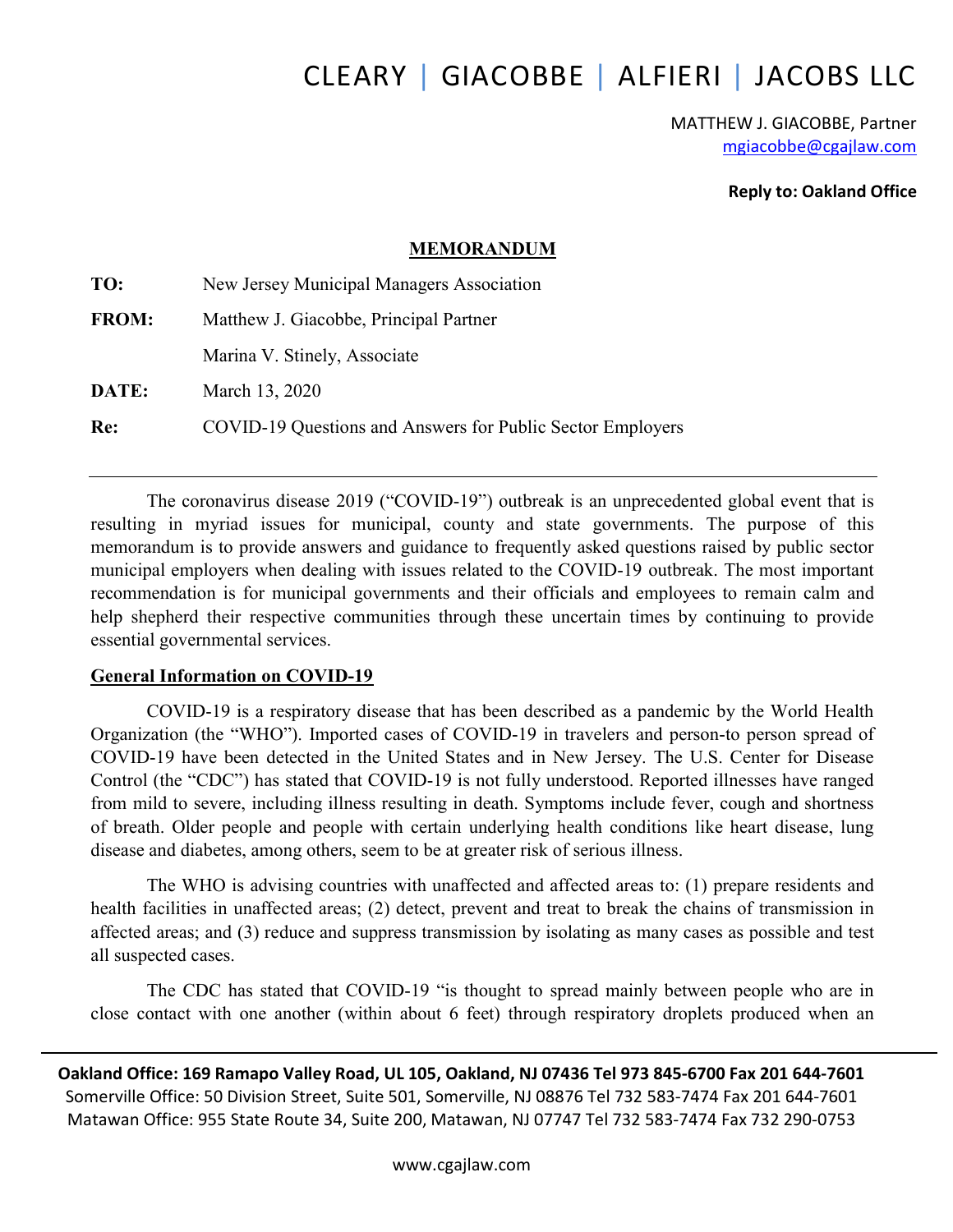# CLEARY | GIACOBBE | ALFIERI | JACOBS LLC

MATTHEW J. GIACOBBE, Partner mgiacobbe@cgajlaw.com

Reply to: Oakland Office

#### MEMORANDUM

| TO:          | New Jersey Municipal Managers Association                  |  |
|--------------|------------------------------------------------------------|--|
| <b>FROM:</b> | Matthew J. Giacobbe, Principal Partner                     |  |
|              | Marina V. Stinely, Associate                               |  |
| DATE:        | March 13, 2020                                             |  |
| Re:          | COVID-19 Questions and Answers for Public Sector Employers |  |
|              |                                                            |  |

The coronavirus disease 2019 ("COVID-19") outbreak is an unprecedented global event that is resulting in myriad issues for municipal, county and state governments. The purpose of this memorandum is to provide answers and guidance to frequently asked questions raised by public sector municipal employers when dealing with issues related to the COVID-19 outbreak. The most important recommendation is for municipal governments and their officials and employees to remain calm and help shepherd their respective communities through these uncertain times by continuing to provide essential governmental services.

#### General Information on COVID-19

COVID-19 is a respiratory disease that has been described as a pandemic by the World Health Organization (the "WHO"). Imported cases of COVID-19 in travelers and person-to person spread of COVID-19 have been detected in the United States and in New Jersey. The U.S. Center for Disease Control (the "CDC") has stated that COVID-19 is not fully understood. Reported illnesses have ranged from mild to severe, including illness resulting in death. Symptoms include fever, cough and shortness of breath. Older people and people with certain underlying health conditions like heart disease, lung disease and diabetes, among others, seem to be at greater risk of serious illness.

The WHO is advising countries with unaffected and affected areas to: (1) prepare residents and health facilities in unaffected areas; (2) detect, prevent and treat to break the chains of transmission in affected areas; and (3) reduce and suppress transmission by isolating as many cases as possible and test all suspected cases.

The CDC has stated that COVID-19 "is thought to spread mainly between people who are in close contact with one another (within about 6 feet) through respiratory droplets produced when an

Oakland Office: 169 Ramapo Valley Road, UL 105, Oakland, NJ 07436 Tel 973 845-6700 Fax 201 644-7601 Somerville Office: 50 Division Street, Suite 501, Somerville, NJ 08876 Tel 732 583-7474 Fax 201 644-7601 Matawan Office: 955 State Route 34, Suite 200, Matawan, NJ 07747 Tel 732 583-7474 Fax 732 290-0753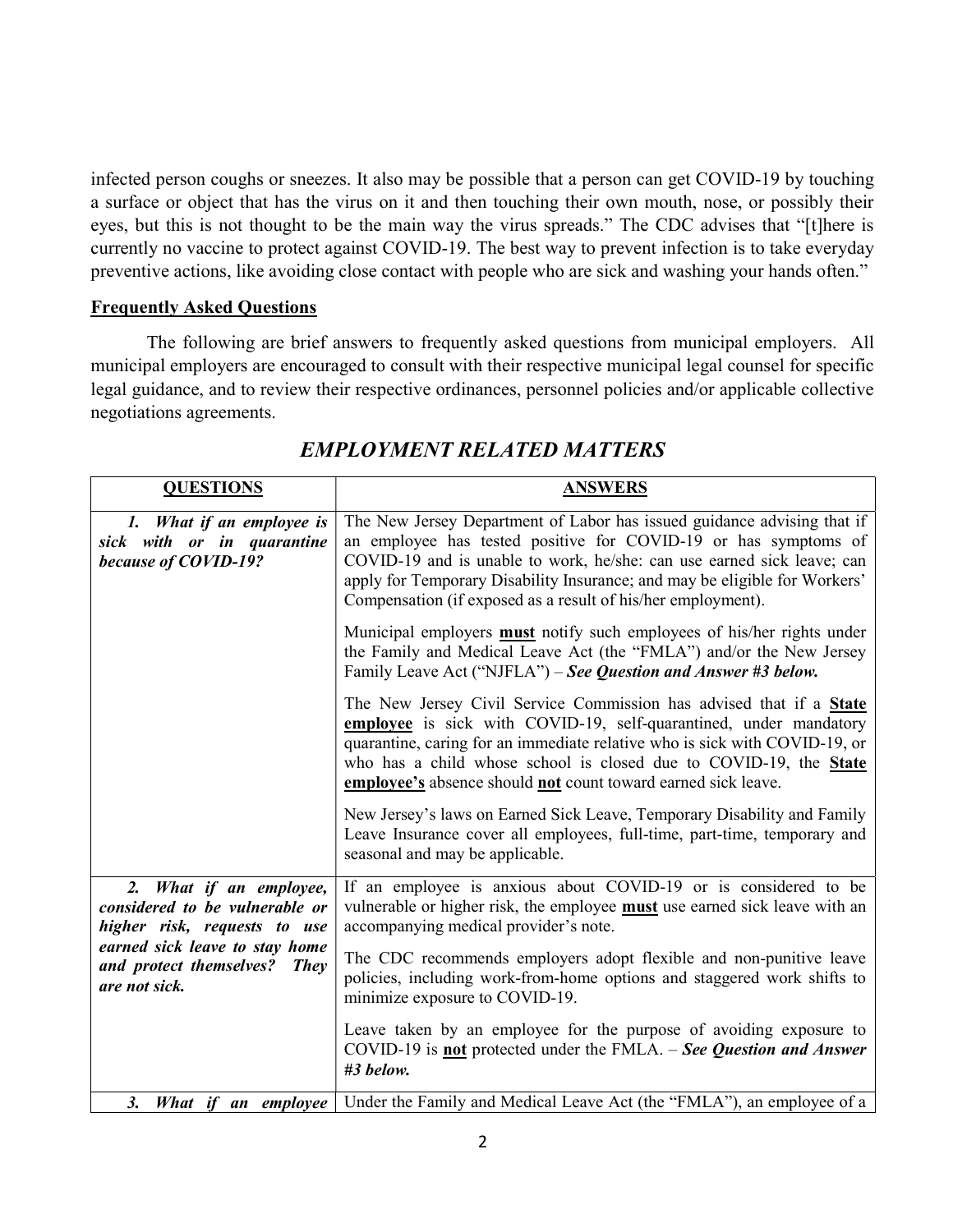infected person coughs or sneezes. It also may be possible that a person can get COVID-19 by touching a surface or object that has the virus on it and then touching their own mouth, nose, or possibly their eyes, but this is not thought to be the main way the virus spreads." The CDC advises that "[t]here is currently no vaccine to protect against COVID-19. The best way to prevent infection is to take everyday preventive actions, like avoiding close contact with people who are sick and washing your hands often."

#### Frequently Asked Questions

The following are brief answers to frequently asked questions from municipal employers. All municipal employers are encouraged to consult with their respective municipal legal counsel for specific legal guidance, and to review their respective ordinances, personnel policies and/or applicable collective negotiations agreements.

| <b>QUESTIONS</b>                                                                          | <b>ANSWERS</b>                                                                                                                                                                                                                                                                                                                                                     |
|-------------------------------------------------------------------------------------------|--------------------------------------------------------------------------------------------------------------------------------------------------------------------------------------------------------------------------------------------------------------------------------------------------------------------------------------------------------------------|
| 1. What if an employee is<br>sick with or in quarantine<br>because of COVID-19?           | The New Jersey Department of Labor has issued guidance advising that if<br>an employee has tested positive for COVID-19 or has symptoms of<br>COVID-19 and is unable to work, he/she: can use earned sick leave; can<br>apply for Temporary Disability Insurance; and may be eligible for Workers'<br>Compensation (if exposed as a result of his/her employment). |
|                                                                                           | Municipal employers <b>must</b> notify such employees of his/her rights under<br>the Family and Medical Leave Act (the "FMLA") and/or the New Jersey<br>Family Leave Act ("NJFLA") – See Question and Answer #3 below.                                                                                                                                             |
|                                                                                           | The New Jersey Civil Service Commission has advised that if a State<br>employee is sick with COVID-19, self-quarantined, under mandatory<br>quarantine, caring for an immediate relative who is sick with COVID-19, or<br>who has a child whose school is closed due to COVID-19, the State<br>employee's absence should not count toward earned sick leave.       |
|                                                                                           | New Jersey's laws on Earned Sick Leave, Temporary Disability and Family<br>Leave Insurance cover all employees, full-time, part-time, temporary and<br>seasonal and may be applicable.                                                                                                                                                                             |
| 2. What if an employee,<br>considered to be vulnerable or<br>higher risk, requests to use | If an employee is anxious about COVID-19 or is considered to be<br>vulnerable or higher risk, the employee must use earned sick leave with an<br>accompanying medical provider's note.                                                                                                                                                                             |
| earned sick leave to stay home<br>and protect themselves?<br><b>They</b><br>are not sick. | The CDC recommends employers adopt flexible and non-punitive leave<br>policies, including work-from-home options and staggered work shifts to<br>minimize exposure to COVID-19.                                                                                                                                                                                    |
|                                                                                           | Leave taken by an employee for the purpose of avoiding exposure to<br>COVID-19 is <b>not</b> protected under the FMLA. - See Question and Answer<br>#3 below.                                                                                                                                                                                                      |
| 3.<br>What if an employee                                                                 | Under the Family and Medical Leave Act (the "FMLA"), an employee of a                                                                                                                                                                                                                                                                                              |

## EMPLOYMENT RELATED MATTERS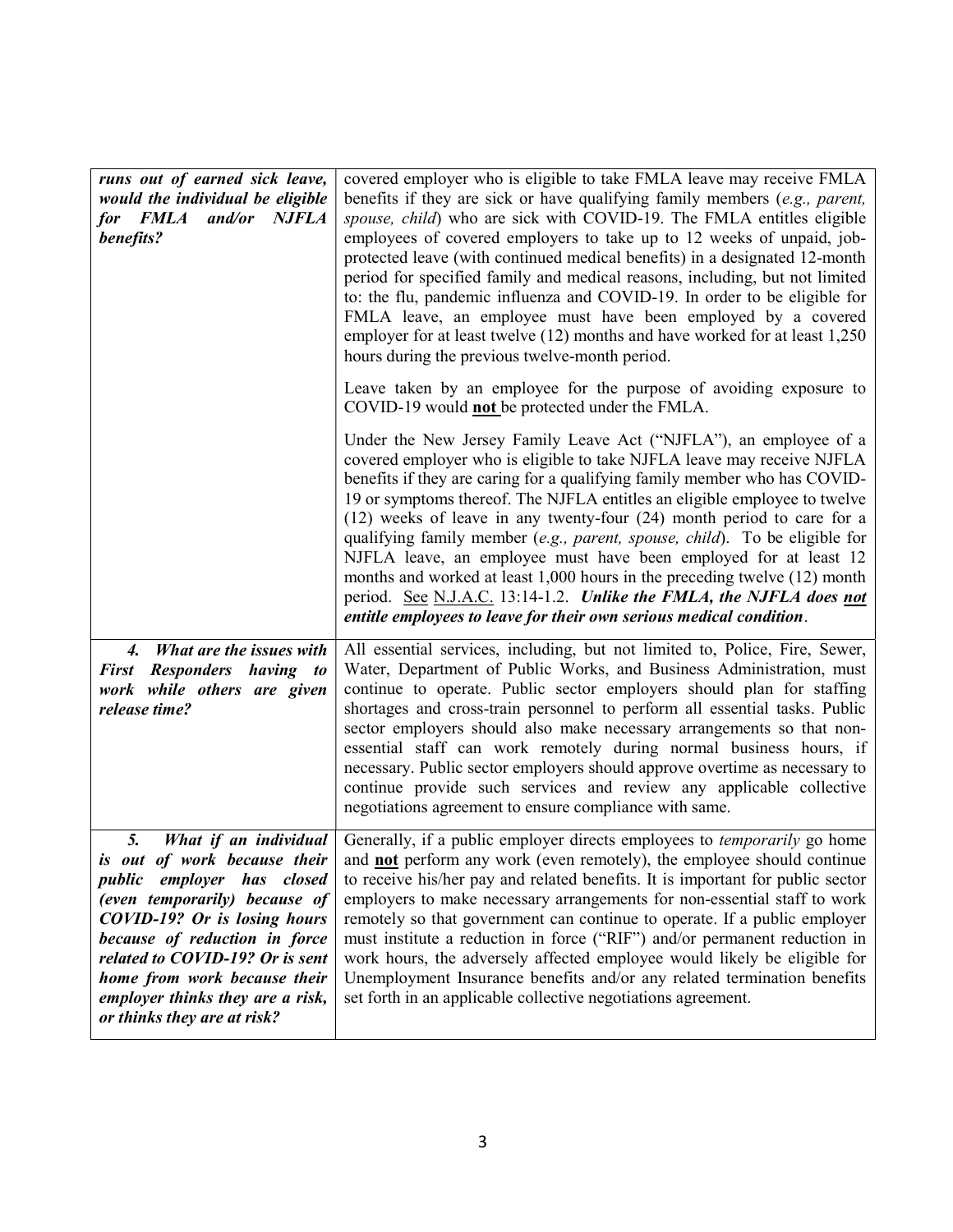| runs out of earned sick leave,<br>would the individual be eligible<br>for FMLA and/or NJFLA<br>benefits?                                                                                                                                                              | covered employer who is eligible to take FMLA leave may receive FMLA<br>benefits if they are sick or have qualifying family members $(e.g., parent,$<br>spouse, child) who are sick with COVID-19. The FMLA entitles eligible<br>employees of covered employers to take up to 12 weeks of unpaid, job-<br>protected leave (with continued medical benefits) in a designated 12-month<br>period for specified family and medical reasons, including, but not limited<br>to: the flu, pandemic influenza and COVID-19. In order to be eligible for<br>FMLA leave, an employee must have been employed by a covered<br>employer for at least twelve (12) months and have worked for at least 1,250<br>hours during the previous twelve-month period.                |
|-----------------------------------------------------------------------------------------------------------------------------------------------------------------------------------------------------------------------------------------------------------------------|------------------------------------------------------------------------------------------------------------------------------------------------------------------------------------------------------------------------------------------------------------------------------------------------------------------------------------------------------------------------------------------------------------------------------------------------------------------------------------------------------------------------------------------------------------------------------------------------------------------------------------------------------------------------------------------------------------------------------------------------------------------|
|                                                                                                                                                                                                                                                                       | Leave taken by an employee for the purpose of avoiding exposure to<br>COVID-19 would <b>not</b> be protected under the FMLA.                                                                                                                                                                                                                                                                                                                                                                                                                                                                                                                                                                                                                                     |
|                                                                                                                                                                                                                                                                       | Under the New Jersey Family Leave Act ("NJFLA"), an employee of a<br>covered employer who is eligible to take NJFLA leave may receive NJFLA<br>benefits if they are caring for a qualifying family member who has COVID-<br>19 or symptoms thereof. The NJFLA entitles an eligible employee to twelve<br>$(12)$ weeks of leave in any twenty-four $(24)$ month period to care for a<br>qualifying family member (e.g., parent, spouse, child). To be eligible for<br>NJFLA leave, an employee must have been employed for at least 12<br>months and worked at least 1,000 hours in the preceding twelve (12) month<br>period. See N.J.A.C. 13:14-1.2. Unlike the FMLA, the NJFLA does not<br>entitle employees to leave for their own serious medical condition. |
| What are the issues with<br>$\boldsymbol{\mathcal{A}}$ .<br>First Responders having to<br>work while others are given<br>release time?                                                                                                                                | All essential services, including, but not limited to, Police, Fire, Sewer,<br>Water, Department of Public Works, and Business Administration, must<br>continue to operate. Public sector employers should plan for staffing<br>shortages and cross-train personnel to perform all essential tasks. Public<br>sector employers should also make necessary arrangements so that non-<br>essential staff can work remotely during normal business hours, if<br>necessary. Public sector employers should approve overtime as necessary to<br>continue provide such services and review any applicable collective<br>negotiations agreement to ensure compliance with same.                                                                                         |
| 5.<br>What if an individual<br>is out of work because their<br>public employer has closed<br>(even temporarily) because of<br><b>COVID-19?</b> Or is losing hours<br>because of reduction in force<br>related to COVID-19? Or is sent<br>home from work because their | Generally, if a public employer directs employees to <i>temporarily</i> go home<br>and <b>not</b> perform any work (even remotely), the employee should continue<br>to receive his/her pay and related benefits. It is important for public sector<br>employers to make necessary arrangements for non-essential staff to work<br>remotely so that government can continue to operate. If a public employer<br>must institute a reduction in force ("RIF") and/or permanent reduction in<br>work hours, the adversely affected employee would likely be eligible for<br>Unemployment Insurance benefits and/or any related termination benefits<br>set forth in an applicable collective negotiations agreement.                                                 |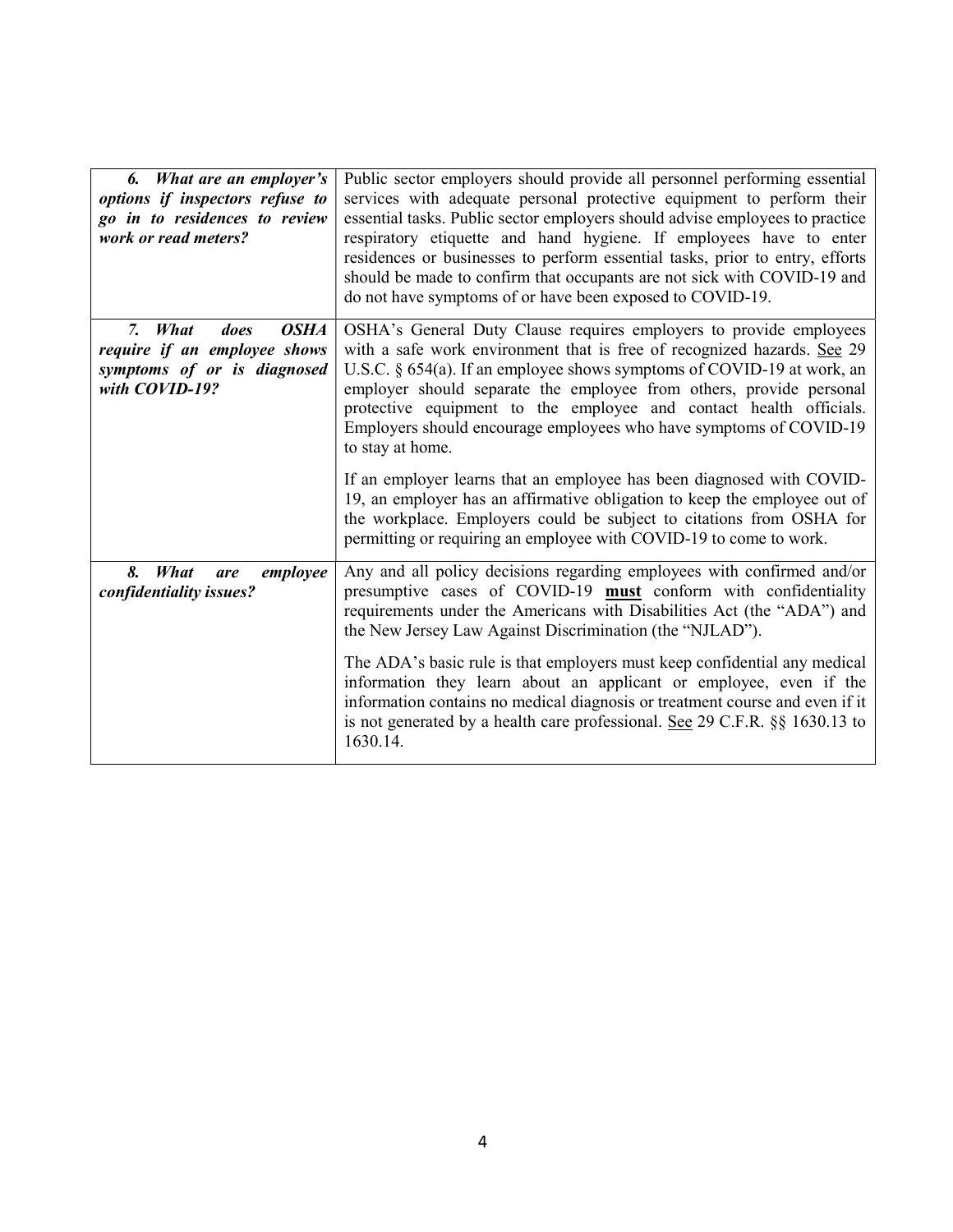| 6. What are an employer's<br>options if inspectors refuse to<br>go in to residences to review<br>work or read meters? | Public sector employers should provide all personnel performing essential<br>services with adequate personal protective equipment to perform their<br>essential tasks. Public sector employers should advise employees to practice<br>respiratory etiquette and hand hygiene. If employees have to enter<br>residences or businesses to perform essential tasks, prior to entry, efforts<br>should be made to confirm that occupants are not sick with COVID-19 and<br>do not have symptoms of or have been exposed to COVID-19. |
|-----------------------------------------------------------------------------------------------------------------------|----------------------------------------------------------------------------------------------------------------------------------------------------------------------------------------------------------------------------------------------------------------------------------------------------------------------------------------------------------------------------------------------------------------------------------------------------------------------------------------------------------------------------------|
| <b>OSHA</b><br>7. What<br>does<br>require if an employee shows<br>symptoms of or is diagnosed<br>with COVID-19?       | OSHA's General Duty Clause requires employers to provide employees<br>with a safe work environment that is free of recognized hazards. See 29<br>U.S.C. $\S$ 654(a). If an employee shows symptoms of COVID-19 at work, an<br>employer should separate the employee from others, provide personal<br>protective equipment to the employee and contact health officials.<br>Employers should encourage employees who have symptoms of COVID-19<br>to stay at home.                                                                |
|                                                                                                                       | If an employer learns that an employee has been diagnosed with COVID-<br>19, an employer has an affirmative obligation to keep the employee out of<br>the workplace. Employers could be subject to citations from OSHA for<br>permitting or requiring an employee with COVID-19 to come to work.                                                                                                                                                                                                                                 |
| <b>What</b><br>8.<br>employee<br>are<br>confidentiality issues?                                                       | Any and all policy decisions regarding employees with confirmed and/or<br>presumptive cases of COVID-19 must conform with confidentiality<br>requirements under the Americans with Disabilities Act (the "ADA") and<br>the New Jersey Law Against Discrimination (the "NJLAD").                                                                                                                                                                                                                                                  |
|                                                                                                                       | The ADA's basic rule is that employers must keep confidential any medical<br>information they learn about an applicant or employee, even if the<br>information contains no medical diagnosis or treatment course and even if it<br>is not generated by a health care professional. See 29 C.F.R. §§ 1630.13 to<br>1630.14.                                                                                                                                                                                                       |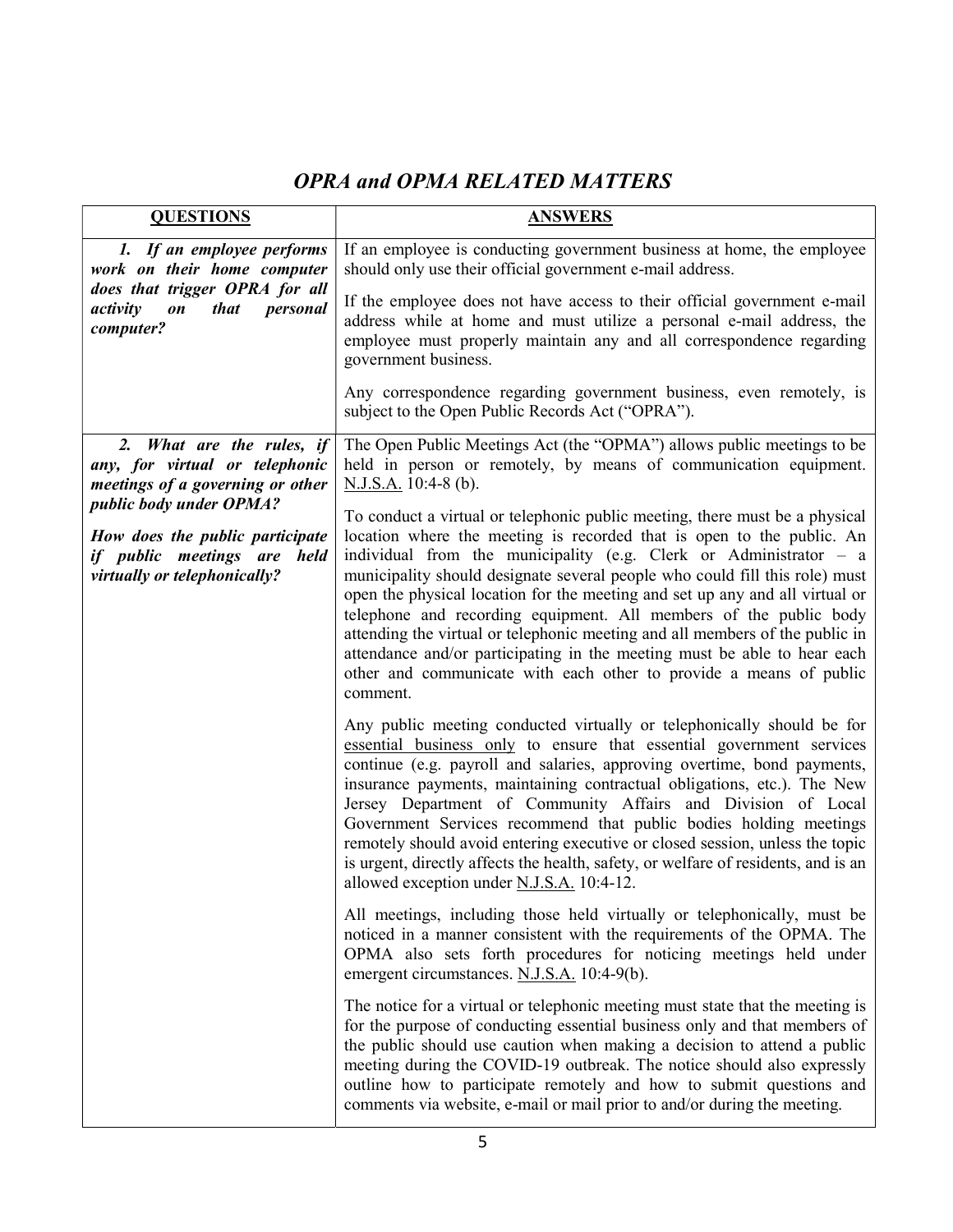# OPRA and OPMA RELATED MATTERS

| <b>QUESTIONS</b>                                                                                                                                                                                                             | <b>ANSWERS</b>                                                                                                                                                                                                                                                                                                                                                                                                                                                                                                                                                                                                                                                                                                |
|------------------------------------------------------------------------------------------------------------------------------------------------------------------------------------------------------------------------------|---------------------------------------------------------------------------------------------------------------------------------------------------------------------------------------------------------------------------------------------------------------------------------------------------------------------------------------------------------------------------------------------------------------------------------------------------------------------------------------------------------------------------------------------------------------------------------------------------------------------------------------------------------------------------------------------------------------|
| 1. If an employee performs<br>work on their home computer                                                                                                                                                                    | If an employee is conducting government business at home, the employee<br>should only use their official government e-mail address.                                                                                                                                                                                                                                                                                                                                                                                                                                                                                                                                                                           |
| does that trigger OPRA for all<br>activity<br><i>that</i><br>personal<br>$\boldsymbol{on}$<br>computer?                                                                                                                      | If the employee does not have access to their official government e-mail<br>address while at home and must utilize a personal e-mail address, the<br>employee must properly maintain any and all correspondence regarding<br>government business.                                                                                                                                                                                                                                                                                                                                                                                                                                                             |
|                                                                                                                                                                                                                              | Any correspondence regarding government business, even remotely, is<br>subject to the Open Public Records Act ("OPRA").                                                                                                                                                                                                                                                                                                                                                                                                                                                                                                                                                                                       |
| 2. What are the rules, if<br>any, for virtual or telephonic<br>meetings of a governing or other<br>public body under OPMA?<br>How does the public participate<br>if public meetings are held<br>virtually or telephonically? | The Open Public Meetings Act (the "OPMA") allows public meetings to be<br>held in person or remotely, by means of communication equipment.<br>N.J.S.A. 10:4-8 (b).                                                                                                                                                                                                                                                                                                                                                                                                                                                                                                                                            |
|                                                                                                                                                                                                                              | To conduct a virtual or telephonic public meeting, there must be a physical<br>location where the meeting is recorded that is open to the public. An<br>individual from the municipality (e.g. Clerk or Administrator $-$ a<br>municipality should designate several people who could fill this role) must<br>open the physical location for the meeting and set up any and all virtual or<br>telephone and recording equipment. All members of the public body<br>attending the virtual or telephonic meeting and all members of the public in<br>attendance and/or participating in the meeting must be able to hear each<br>other and communicate with each other to provide a means of public<br>comment. |
|                                                                                                                                                                                                                              | Any public meeting conducted virtually or telephonically should be for<br>essential business only to ensure that essential government services<br>continue (e.g. payroll and salaries, approving overtime, bond payments,<br>insurance payments, maintaining contractual obligations, etc.). The New<br>Jersey Department of Community Affairs and Division of Local<br>Government Services recommend that public bodies holding meetings<br>remotely should avoid entering executive or closed session, unless the topic<br>is urgent, directly affects the health, safety, or welfare of residents, and is an<br>allowed exception under N.J.S.A. 10:4-12.                                                  |
|                                                                                                                                                                                                                              | All meetings, including those held virtually or telephonically, must be<br>noticed in a manner consistent with the requirements of the OPMA. The<br>OPMA also sets forth procedures for noticing meetings held under<br>emergent circumstances. N.J.S.A. 10:4-9(b).                                                                                                                                                                                                                                                                                                                                                                                                                                           |
|                                                                                                                                                                                                                              | The notice for a virtual or telephonic meeting must state that the meeting is<br>for the purpose of conducting essential business only and that members of<br>the public should use caution when making a decision to attend a public<br>meeting during the COVID-19 outbreak. The notice should also expressly<br>outline how to participate remotely and how to submit questions and<br>comments via website, e-mail or mail prior to and/or during the meeting.                                                                                                                                                                                                                                            |